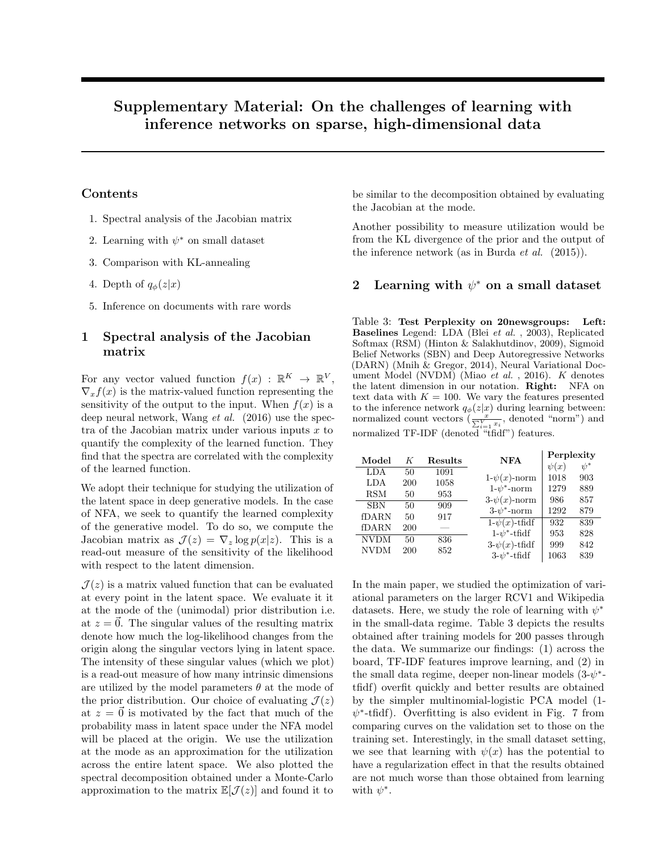# Supplementary Material: On the challenges of learning with inference networks on sparse, high-dimensional data

#### Contents

- 1. Spectral analysis of the Jacobian matrix
- 2. Learning with  $\psi^*$  on small dataset
- 3. Comparison with KL-annealing
- 4. Depth of  $q_{\phi}(z|x)$
- 5. Inference on documents with rare words

### 1 Spectral analysis of the Jacobian matrix

For any vector valued function  $f(x) : \mathbb{R}^K \to \mathbb{R}^V$ ,  $\nabla_x f(x)$  is the matrix-valued function representing the sensitivity of the output to the input. When  $f(x)$  is a deep neural network, Wang et al. (2016) use the spectra of the Jacobian matrix under various inputs  $x$  to quantify the complexity of the learned function. They find that the spectra are correlated with the complexity of the learned function.

We adopt their technique for studying the utilization of the latent space in deep generative models. In the case of NFA, we seek to quantify the learned complexity of the generative model. To do so, we compute the Jacobian matrix as  $\mathcal{J}(z) = \nabla_z \log p(x|z)$ . This is a read-out measure of the sensitivity of the likelihood with respect to the latent dimension.

 $\mathcal{J}(z)$  is a matrix valued function that can be evaluated at every point in the latent space. We evaluate it it at the mode of the (unimodal) prior distribution i.e. at  $z = 0$ . The singular values of the resulting matrix denote how much the log-likelihood changes from the origin along the singular vectors lying in latent space. The intensity of these singular values (which we plot) is a read-out measure of how many intrinsic dimensions are utilized by the model parameters  $\theta$  at the mode of the prior distribution. Our choice of evaluating  $\mathcal{J}(z)$ at  $z = \vec{0}$  is motivated by the fact that much of the probability mass in latent space under the NFA model will be placed at the origin. We use the utilization at the mode as an approximation for the utilization across the entire latent space. We also plotted the spectral decomposition obtained under a Monte-Carlo approximation to the matrix  $\mathbb{E}[\mathcal{J}(z)]$  and found it to be similar to the decomposition obtained by evaluating the Jacobian at the mode.

Another possibility to measure utilization would be from the KL divergence of the prior and the output of the inference network (as in Burda *et al.*  $(2015)$ ).

## 2 Learning with  $\psi^*$  on a small dataset

Table 3: Test Perplexity on 20newsgroups: Left: Baselines Legend: LDA (Blei et al. , 2003), Replicated Softmax (RSM) (Hinton & Salakhutdinov, 2009), Sigmoid Belief Networks (SBN) and Deep Autoregressive Networks (DARN) (Mnih & Gregor, 2014), Neural Variational Document Model (NVDM) (Miao et al., 2016). K denotes the latent dimension in our notation. Right: NFA on text data with  $K = 100$ . We vary the features presented to the inference network  $q_{\phi}(z|x)$  during learning between: normalized count vectors  $\left(\frac{x}{\sum_{i=1}^{V} x_i},\right)$  denoted "norm") and normalized TF-IDF (denoted "tfidf") features.

| Model                | K         | Results     | <b>NFA</b>                           | Perplexity        |                 |
|----------------------|-----------|-------------|--------------------------------------|-------------------|-----------------|
| LDA                  | 50        | 1091        | $1-\psi(x)$ -norm                    | $\psi(x)$<br>1018 | $\psi^*$<br>903 |
| LDA<br><b>RSM</b>    | 200<br>50 | 1058<br>953 | $1-\psi^*$ -norm                     | 1279              | 889             |
| <b>SBN</b>           | 50        | 909         | $3-\psi(x)$ -norm<br>$3-v^*$ -norm   | 986<br>1292       | 857<br>879      |
| fDARN                | 50        | 917         | $1-\psi(x)$ -tfidf                   | 932               | 839             |
| fDARN<br><b>NVDM</b> | 200<br>50 | 836         | $1-v^*$ -tfidf                       | 953               | 828             |
| <b>NVDM</b>          | 200       | 852         | $3-\psi(x)$ -tfidf<br>$3-v^*$ -tfidf | 999<br>1063       | 842<br>839      |

In the main paper, we studied the optimization of variational parameters on the larger RCV1 and Wikipedia datasets. Here, we study the role of learning with  $\psi^*$ in the small-data regime. Table 3 depicts the results obtained after training models for 200 passes through the data. We summarize our findings: (1) across the board, TF-IDF features improve learning, and (2) in the small data regime, deeper non-linear models  $(3-\psi^*$ tfidf) overfit quickly and better results are obtained by the simpler multinomial-logistic PCA model (1-  $\psi^*$ -tfidf). Overfitting is also evident in Fig. 7 from comparing curves on the validation set to those on the training set. Interestingly, in the small dataset setting, we see that learning with  $\psi(x)$  has the potential to have a regularization effect in that the results obtained are not much worse than those obtained from learning with  $\psi^*$ .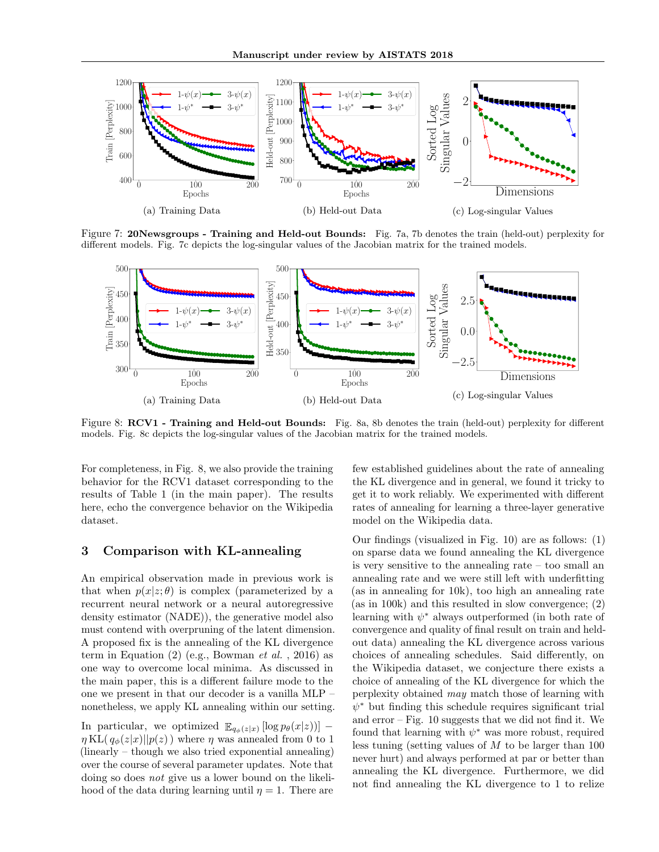

Figure 7: 20Newsgroups - Training and Held-out Bounds: Fig. 7a, 7b denotes the train (held-out) perplexity for different models. Fig. 7c depicts the log-singular values of the Jacobian matrix for the trained models.



Figure 8: RCV1 - Training and Held-out Bounds: Fig. 8a, 8b denotes the train (held-out) perplexity for different models. Fig. 8c depicts the log-singular values of the Jacobian matrix for the trained models.

For completeness, in Fig. 8, we also provide the training behavior for the RCV1 dataset corresponding to the results of Table 1 (in the main paper). The results here, echo the convergence behavior on the Wikipedia dataset.

#### 3 Comparison with KL-annealing

An empirical observation made in previous work is that when  $p(x|z;\theta)$  is complex (parameterized by a recurrent neural network or a neural autoregressive density estimator (NADE)), the generative model also must contend with overpruning of the latent dimension. A proposed fix is the annealing of the KL divergence term in Equation  $(2)$  (e.g., Bowman *et al.*, 2016) as one way to overcome local minima. As discussed in the main paper, this is a different failure mode to the one we present in that our decoder is a vanilla MLP – nonetheless, we apply KL annealing within our setting.

In particular, we optimized  $\mathbb{E}_{q_{\phi}(z|x)} [\log p_{\theta}(x|z))]$  –  $\eta$ KL( $q_{\phi}(z|x)||p(z)$ ) where  $\eta$  was annealed from 0 to 1 (linearly – though we also tried exponential annealing) over the course of several parameter updates. Note that doing so does not give us a lower bound on the likelihood of the data during learning until  $\eta = 1$ . There are

few established guidelines about the rate of annealing the KL divergence and in general, we found it tricky to get it to work reliably. We experimented with different rates of annealing for learning a three-layer generative model on the Wikipedia data.

Our findings (visualized in Fig. 10) are as follows: (1) on sparse data we found annealing the KL divergence is very sensitive to the annealing rate – too small an annealing rate and we were still left with underfitting (as in annealing for 10k), too high an annealing rate (as in 100k) and this resulted in slow convergence; (2) learning with  $\psi^*$  always outperformed (in both rate of convergence and quality of final result on train and heldout data) annealing the KL divergence across various choices of annealing schedules. Said differently, on the Wikipedia dataset, we conjecture there exists a choice of annealing of the KL divergence for which the perplexity obtained may match those of learning with  $\psi^*$  but finding this schedule requires significant trial and  $error - Fig. 10 suggests that we did not find it. We$ found that learning with  $\psi^*$  was more robust, required less tuning (setting values of  $M$  to be larger than 100 never hurt) and always performed at par or better than annealing the KL divergence. Furthermore, we did not find annealing the KL divergence to 1 to relize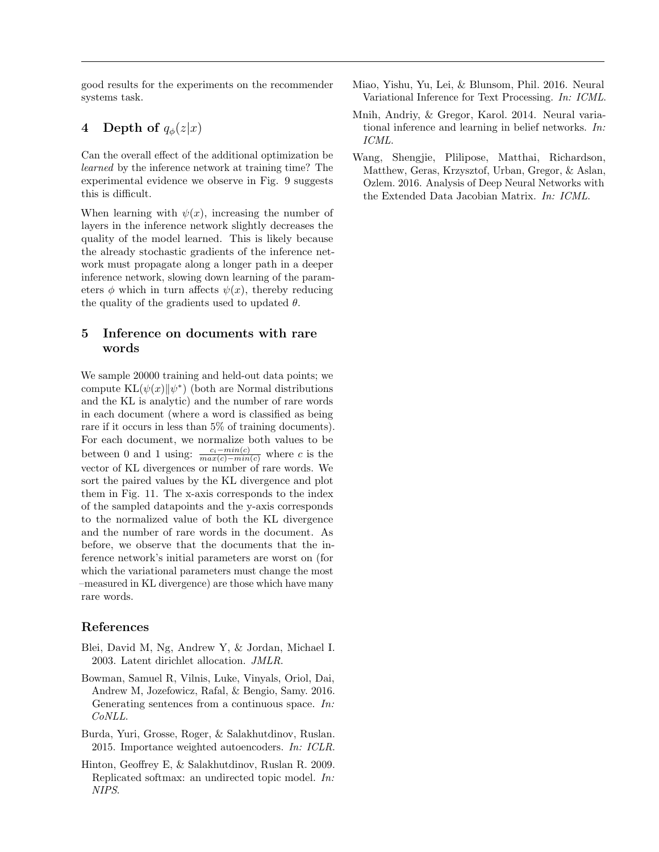good results for the experiments on the recommender systems task.

## 4 Depth of  $q_{\phi}(z|x)$

Can the overall effect of the additional optimization be learned by the inference network at training time? The experimental evidence we observe in Fig. 9 suggests this is difficult.

When learning with  $\psi(x)$ , increasing the number of layers in the inference network slightly decreases the quality of the model learned. This is likely because the already stochastic gradients of the inference network must propagate along a longer path in a deeper inference network, slowing down learning of the parameters  $\phi$  which in turn affects  $\psi(x)$ , thereby reducing the quality of the gradients used to updated  $\theta$ .

## 5 Inference on documents with rare words

We sample 20000 training and held-out data points; we compute  $KL(\psi(x) \| \psi^*)$  (both are Normal distributions and the KL is analytic) and the number of rare words in each document (where a word is classified as being rare if it occurs in less than 5% of training documents). For each document, we normalize both values to be between 0 and 1 using:  $\frac{c_i - min(c)}{max(c) - min(c)}$  where c is the vector of KL divergences or number of rare words. We sort the paired values by the KL divergence and plot them in Fig. 11. The x-axis corresponds to the index of the sampled datapoints and the y-axis corresponds to the normalized value of both the KL divergence and the number of rare words in the document. As before, we observe that the documents that the inference network's initial parameters are worst on (for which the variational parameters must change the most –measured in KL divergence) are those which have many rare words.

#### References

- Blei, David M, Ng, Andrew Y, & Jordan, Michael I. 2003. Latent dirichlet allocation. JMLR.
- Bowman, Samuel R, Vilnis, Luke, Vinyals, Oriol, Dai, Andrew M, Jozefowicz, Rafal, & Bengio, Samy. 2016. Generating sentences from a continuous space. In: CoNLL.
- Burda, Yuri, Grosse, Roger, & Salakhutdinov, Ruslan. 2015. Importance weighted autoencoders. In: ICLR.
- Hinton, Geoffrey E, & Salakhutdinov, Ruslan R. 2009. Replicated softmax: an undirected topic model. In: NIPS.
- Miao, Yishu, Yu, Lei, & Blunsom, Phil. 2016. Neural Variational Inference for Text Processing. In: ICML.
- Mnih, Andriy, & Gregor, Karol. 2014. Neural variational inference and learning in belief networks. In: ICML.
- Wang, Shengjie, Plilipose, Matthai, Richardson, Matthew, Geras, Krzysztof, Urban, Gregor, & Aslan, Ozlem. 2016. Analysis of Deep Neural Networks with the Extended Data Jacobian Matrix. In: ICML.